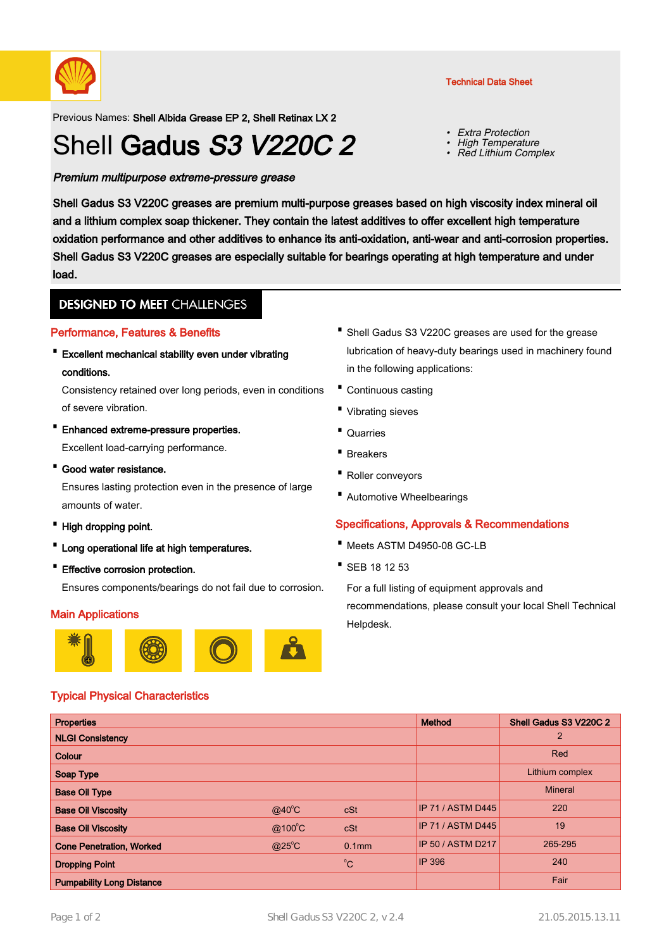

Previous Names: Shell Albida Grease EP 2, Shell Retinax LX 2

# Shell Gadus S3 V220C 2

Premium multipurpose extreme-pressure grease

Shell Gadus S3 V220C greases are premium multi-purpose greases based on high viscosity index mineral oil and a lithium complex soap thickener. They contain the latest additives to offer excellent high temperature oxidation performance and other additives to enhance its anti-oxidation, anti-wear and anti-corrosion properties. Shell Gadus S3 V220C greases are especially suitable for bearings operating at high temperature and under load.

# **DESIGNED TO MEET CHALLENGES**

# Performance, Features & Benefits

Excellent mechanical stability even under vibrating · conditions.

Consistency retained over long periods, even in conditions of severe vibration.

- · Enhanced extreme-pressure properties. Excellent load-carrying performance.
- · Good water resistance.

Ensures lasting protection even in the presence of large amounts of water.

- · High dropping point.
- · Long operational life at high temperatures.
- · Effective corrosion protection.

Ensures components/bearings do not fail due to corrosion.

# Main Applications



# Typical Physical Characteristics

- Shell Gadus S3 V220C greases are used for the grease lubrication of heavy-duty bearings used in machinery found in the following applications:
- · Continuous casting
- · Vibrating sieves
- · Quarries
- · Breakers
- · Roller conveyors
- · Automotive Wheelbearings

# Specifications, Approvals & Recommendations

- · Meets ASTM D4950-08 GC-LB
- · SEB 18 12 53

For a full listing of equipment approvals and recommendations, please consult your local Shell Technical Helpdesk.

| <b>Properties</b>                |                 |                   | <b>Method</b>            | Shell Gadus S3 V220C 2 |
|----------------------------------|-----------------|-------------------|--------------------------|------------------------|
| <b>NLGI Consistency</b>          |                 |                   |                          | 2                      |
| Colour                           |                 |                   |                          | Red                    |
| Soap Type                        |                 |                   |                          | Lithium complex        |
| <b>Base Oil Type</b>             |                 |                   |                          | <b>Mineral</b>         |
| <b>Base Oil Viscosity</b>        | $@40^{\circ}$ C | cSt               | <b>IP 71 / ASTM D445</b> | 220                    |
| <b>Base Oil Viscosity</b>        | @100°C          | cSt               | <b>IP 71 / ASTM D445</b> | 19                     |
| <b>Cone Penetration, Worked</b>  | $@25^{\circ}$ C | 0.1 <sub>mm</sub> | <b>IP 50 / ASTM D217</b> | 265-295                |
| <b>Dropping Point</b>            |                 | $^0C$             | <b>IP 396</b>            | 240                    |
| <b>Pumpability Long Distance</b> |                 |                   |                          | Fair                   |

Technical Data Sheet

Extra Protection

 High Temperature • Red Lithium Complex

•

•